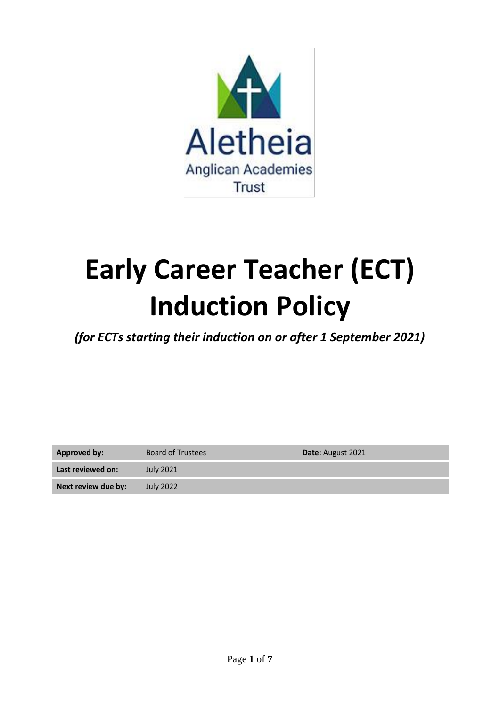

# **Early Career Teacher (ECT) Induction Policy**

*(for ECTs starting their induction on or after 1 September 2021)*

| Approved by:        | <b>Board of Trustees</b> | <b>Date:</b> August 2021 |
|---------------------|--------------------------|--------------------------|
| Last reviewed on:   | July 2021                |                          |
| Next review due by: | July 2022                |                          |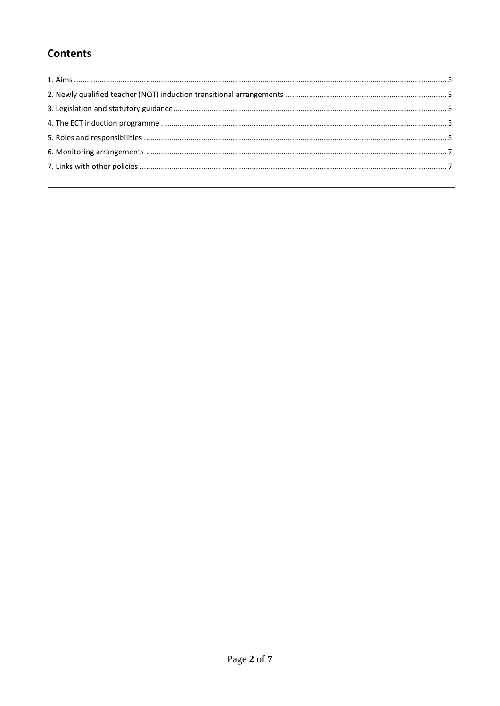# **Contents**

<span id="page-1-0"></span>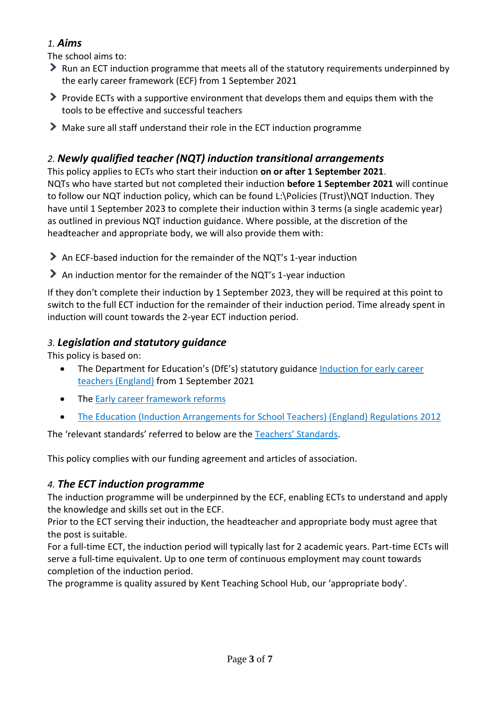# *1. Aims*

The school aims to:

- Run an ECT induction programme that meets all of the statutory requirements underpinned by the early career framework (ECF) from 1 September 2021
- $\triangleright$  Provide ECTs with a supportive environment that develops them and equips them with the tools to be effective and successful teachers
- Make sure all staff understand their role in the ECT induction programme

# <span id="page-2-0"></span>*2. Newly qualified teacher (NQT) induction transitional arrangements*

This policy applies to ECTs who start their induction **on or after 1 September 2021**. NQTs who have started but not completed their induction **before 1 September 2021** will continue to follow our NQT induction policy, which can be found L:\Policies (Trust)\NQT Induction. They have until 1 September 2023 to complete their induction within 3 terms (a single academic year) as outlined in previous NQT induction guidance. Where possible, at the discretion of the headteacher and appropriate body, we will also provide them with:

- An ECF-based induction for the remainder of the NQT's 1-year induction
- An induction mentor for the remainder of the NQT's 1-year induction

If they don't complete their induction by 1 September 2023, they will be required at this point to switch to the full ECT induction for the remainder of their induction period. Time already spent in induction will count towards the 2-year ECT induction period.

# <span id="page-2-1"></span>*3. Legislation and statutory guidance*

This policy is based on:

- The Department for Education's (DfE's) statutory guidance Induction for early career [teachers \(England\)](https://www.gov.uk/government/publications/induction-for-early-career-teachers-england) from 1 September 2021
- The [Early career framework reforms](https://www.gov.uk/government/collections/early-career-framework-reforms)
- [The Education \(Induction Arrangements for School Teachers\) \(England\) Regulations 2012](http://www.legislation.gov.uk/uksi/2012/1115/contents/made)

The 'relevant standards' referred to below are the [Teachers' Standards](https://www.gov.uk/government/publications/teachers-standards).

<span id="page-2-2"></span>This policy complies with our funding agreement and articles of association.

# *4. The ECT induction programme*

The induction programme will be underpinned by the ECF, enabling ECTs to understand and apply the knowledge and skills set out in the ECF.

Prior to the ECT serving their induction, the headteacher and appropriate body must agree that the post is suitable.

For a full-time ECT, the induction period will typically last for 2 academic years. Part-time ECTs will serve a full-time equivalent. Up to one term of continuous employment may count towards completion of the induction period.

The programme is quality assured by Kent Teaching School Hub, our 'appropriate body'.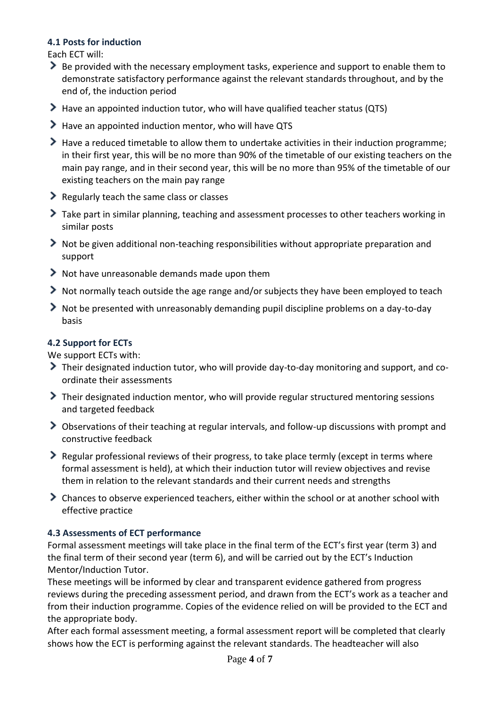## **4.1 Posts for induction**

Each ECT will:

- Be provided with the necessary employment tasks, experience and support to enable them to demonstrate satisfactory performance against the relevant standards throughout, and by the end of, the induction period
- Have an appointed induction tutor, who will have qualified teacher status (QTS)
- Have an appointed induction mentor, who will have QTS
- Have a reduced timetable to allow them to undertake activities in their induction programme; in their first year, this will be no more than 90% of the timetable of our existing teachers on the main pay range, and in their second year, this will be no more than 95% of the timetable of our existing teachers on the main pay range
- Regularly teach the same class or classes
- Take part in similar planning, teaching and assessment processes to other teachers working in similar posts
- Not be given additional non-teaching responsibilities without appropriate preparation and support
- Not have unreasonable demands made upon them
- Not normally teach outside the age range and/or subjects they have been employed to teach
- Not be presented with unreasonably demanding pupil discipline problems on a day-to-day basis

## **4.2 Support for ECTs**

We support ECTs with:

- Their designated induction tutor, who will provide day-to-day monitoring and support, and coordinate their assessments
- Their designated induction mentor, who will provide regular structured mentoring sessions and targeted feedback
- Observations of their teaching at regular intervals, and follow-up discussions with prompt and constructive feedback
- $\geq$  Regular professional reviews of their progress, to take place termly (except in terms where formal assessment is held), at which their induction tutor will review objectives and revise them in relation to the relevant standards and their current needs and strengths
- Chances to observe experienced teachers, either within the school or at another school with effective practice

#### **4.3 Assessments of ECT performance**

Formal assessment meetings will take place in the final term of the ECT's first year (term 3) and the final term of their second year (term 6), and will be carried out by the ECT's Induction Mentor/Induction Tutor.

These meetings will be informed by clear and transparent evidence gathered from progress reviews during the preceding assessment period, and drawn from the ECT's work as a teacher and from their induction programme. Copies of the evidence relied on will be provided to the ECT and the appropriate body.

After each formal assessment meeting, a formal assessment report will be completed that clearly shows how the ECT is performing against the relevant standards. The headteacher will also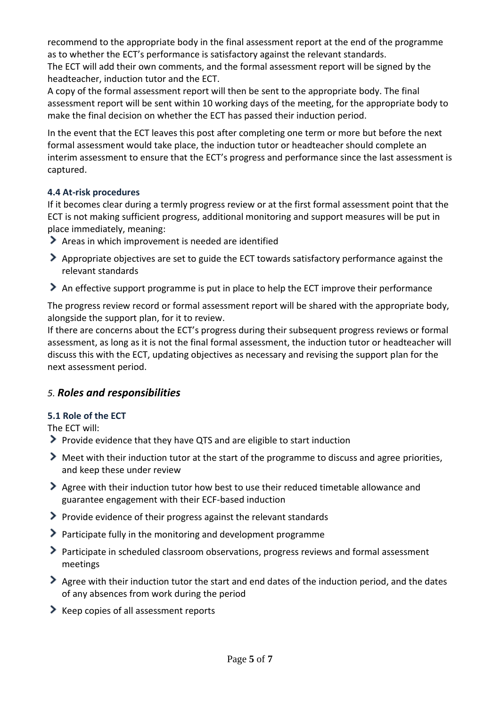recommend to the appropriate body in the final assessment report at the end of the programme as to whether the ECT's performance is satisfactory against the relevant standards. The ECT will add their own comments, and the formal assessment report will be signed by the headteacher, induction tutor and the ECT.

A copy of the formal assessment report will then be sent to the appropriate body. The final assessment report will be sent within 10 working days of the meeting, for the appropriate body to make the final decision on whether the ECT has passed their induction period.

In the event that the ECT leaves this post after completing one term or more but before the next formal assessment would take place, the induction tutor or headteacher should complete an interim assessment to ensure that the ECT's progress and performance since the last assessment is captured.

## **4.4 At-risk procedures**

If it becomes clear during a termly progress review or at the first formal assessment point that the ECT is not making sufficient progress, additional monitoring and support measures will be put in place immediately, meaning:

- Areas in which improvement is needed are identified
- Appropriate objectives are set to guide the ECT towards satisfactory performance against the relevant standards
- An effective support programme is put in place to help the ECT improve their performance

The progress review record or formal assessment report will be shared with the appropriate body, alongside the support plan, for it to review.

If there are concerns about the ECT's progress during their subsequent progress reviews or formal assessment, as long as it is not the final formal assessment, the induction tutor or headteacher will discuss this with the ECT, updating objectives as necessary and revising the support plan for the next assessment period.

# <span id="page-4-0"></span>*5. Roles and responsibilities*

## **5.1 Role of the ECT**

The ECT will:

- Provide evidence that they have QTS and are eligible to start induction
- Meet with their induction tutor at the start of the programme to discuss and agree priorities, and keep these under review
- Agree with their induction tutor how best to use their reduced timetable allowance and guarantee engagement with their ECF-based induction
- Provide evidence of their progress against the relevant standards
- $\blacktriangleright$  Participate fully in the monitoring and development programme
- Participate in scheduled classroom observations, progress reviews and formal assessment meetings
- Agree with their induction tutor the start and end dates of the induction period, and the dates of any absences from work during the period
- $\blacktriangleright$  Keep copies of all assessment reports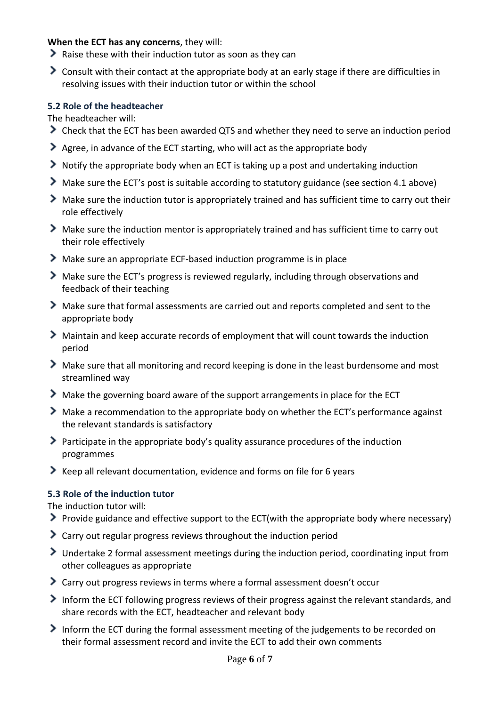#### **When the ECT has any concerns**, they will:

- Raise these with their induction tutor as soon as they can
- Consult with their contact at the appropriate body at an early stage if there are difficulties in resolving issues with their induction tutor or within the school

#### **5.2 Role of the headteacher**

The headteacher will:

- Check that the ECT has been awarded QTS and whether they need to serve an induction period
- Agree, in advance of the ECT starting, who will act as the appropriate body
- Notify the appropriate body when an ECT is taking up a post and undertaking induction
- Make sure the ECT's post is suitable according to statutory guidance (see section 4.1 above)
- Make sure the induction tutor is appropriately trained and has sufficient time to carry out their role effectively
- Make sure the induction mentor is appropriately trained and has sufficient time to carry out their role effectively
- Make sure an appropriate ECF-based induction programme is in place
- Make sure the ECT's progress is reviewed regularly, including through observations and feedback of their teaching
- Make sure that formal assessments are carried out and reports completed and sent to the appropriate body
- Maintain and keep accurate records of employment that will count towards the induction period
- Make sure that all monitoring and record keeping is done in the least burdensome and most streamlined way
- Make the governing board aware of the support arrangements in place for the ECT
- Make a recommendation to the appropriate body on whether the ECT's performance against the relevant standards is satisfactory
- Participate in the appropriate body's quality assurance procedures of the induction programmes
- Keep all relevant documentation, evidence and forms on file for 6 years

## **5.3 Role of the induction tutor**

The induction tutor will:

- Provide guidance and effective support to the ECT(with the appropriate body where necessary)
- Carry out regular progress reviews throughout the induction period
- Undertake 2 formal assessment meetings during the induction period, coordinating input from other colleagues as appropriate
- Carry out progress reviews in terms where a formal assessment doesn't occur
- Inform the ECT following progress reviews of their progress against the relevant standards, and share records with the ECT, headteacher and relevant body
- Inform the ECT during the formal assessment meeting of the judgements to be recorded on their formal assessment record and invite the ECT to add their own comments